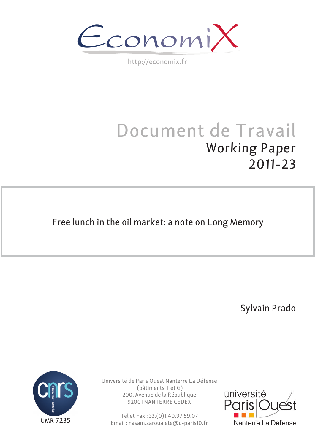EconomiX

http://economix.fr

# Document de Travail Working Paper 2011-23

Free lunch in the oil market: a note on Long Memory

Sylvain Prado



Université de Paris Ouest Nanterre La Défense (bâtiments T et G) 200, Avenue de la République 92001 NANTERRE CEDEX

Tél et Fax : 33.(0)1.40.97.59.07 Email : nasam.zaroualete@u-paris10.fr

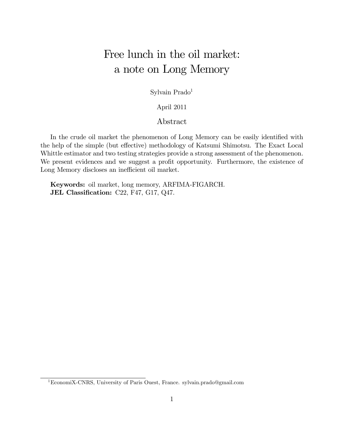## Free lunch in the oil market: a note on Long Memory

Sylvain Prado<sup>1</sup>

April 2011

### Abstract

In the crude oil market the phenomenon of Long Memory can be easily identified with the help of the simple (but effective) methodology of Katsumi Shimotsu. The Exact Local Whittle estimator and two testing strategies provide a strong assessment of the phenomenon. We present evidences and we suggest a profit opportunity. Furthermore, the existence of Long Memory discloses an inefficient oil market.

Keywords: oil market, long memory, ARFIMA-FIGARCH. JEL Classification: C22, F47, G17, Q47.

<sup>1</sup>EconomiX-CNRS, University of Paris Ouest, France. sylvain.prado@gmail.com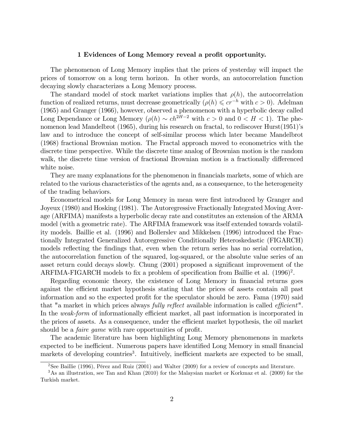#### 1 Evidences of Long Memory reveal a profit opportunity.

The phenomenon of Long Memory implies that the prices of yesterday will impact the prices of tomorrow on a long term horizon. In other words, an autocorrelation function decaying slowly characterizes a Long Memory process.

The standard model of stock market variations implies that  $\rho(h)$ , the autocorrelation function of realized returns, must decrease geometrically  $(\rho(h) \leqslant cr^{-h}$  with  $c > 0$ ). Adelman (1965) and Granger (1966), however, observed a phenomenon with a hyperbolic decay called Long Dependance or Long Memory  $(\rho(h) \sim ch^{2H-2} \text{ with } c > 0 \text{ and } 0 < H < 1$ . The phenomenon lead Mandelbrot (1965), during his research on fractal, to rediscover Hurst(1951)'s law and to introduce the concept of self-similar process which later became Mandelbrot (1968) fractional Brownian motion. The Fractal approach moved to econometrics with the discrete time perspective. While the discrete time analog of Brownian motion is the random walk, the discrete time version of fractional Brownian motion is a fractionally differenced white noise.

They are many explanations for the phenomenon in financials markets, some of which are related to the various characteristics of the agents and, as a consequence, to the heterogeneity of the trading behaviors.

Econometrical models for Long Memory in mean were first introduced by Granger and Joyeux (1980) and Hosking (1981). The Autoregressive Fractionally Integrated Moving Average (ARFIMA) manifests a hyperbolic decay rate and constitutes an extension of the ARMA model (with a geometric rate). The ARFIMA framework was itself extended towards volatility models. Baillie et al. (1996) and Bollerslev and Mikkelsen (1996) introduced the Fractionally Integrated Generalized Autoregressive Conditionally Heteroskedastic (FIGARCH) models reflecting the findings that, even when the return series has no serial correlation, the autocorrelation function of the squared, log-squared, or the absolute value series of an asset return could decays slowly. Chung (2001) proposed a significant improvement of the ARFIMA-FIGARCH models to fix a problem of specification from Baillie et al.  $(1996)^2$ .

Regarding economic theory, the existence of Long Memory in financial returns goes against the efficient market hypothesis stating that the prices of assets contain all past information and so the expected profit for the speculator should be zero. Fama  $(1970)$  said that "a market in which prices always *fully reflect* available information is called *efficient*". In the weak-form of informationally efficient market, all past information is incorporated in the prices of assets. As a consequence, under the efficient market hypothesis, the oil market should be a *faire game* with rare opportunities of profit.

The academic literature has been highlighting Long Memory phenomenons in markets expected to be inefficient. Numerous papers have identified Long Memory in small financial markets of developing countries<sup>3</sup>. Intuitively, inefficient markets are expected to be small,

 $2$ See Baillie (1996), Pérez and Ruiz (2001) and Walter (2009) for a review of concepts and literature.

<sup>3</sup>As an illustration, see Tan and Khan (2010) for the Malaysian market or Korkmaz et al. (2009) for the Turkish market.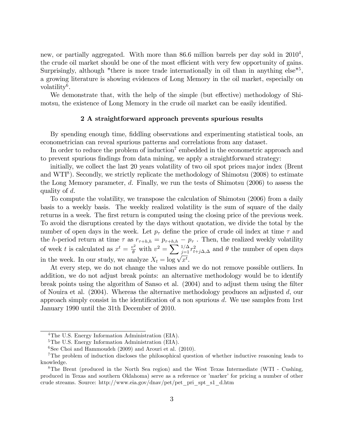new, or partially aggregated. With more than 86.6 million barrels per day sold in  $2010<sup>4</sup>$ , the crude oil market should be one of the most efficient with very few opportunity of gains. Surprisingly, although "there is more trade internationally in oil than in anything else<sup>15</sup>, a growing literature is showing evidences of Long Memory in the oil market, especially on volatility<sup>6</sup>.

We demonstrate that, with the help of the simple (but effective) methodology of Shimotsu, the existence of Long Memory in the crude oil market can be easily identified.

#### 2 A straightforward approach prevents spurious results

By spending enough time, fiddling observations and experimenting statistical tools, an econometrician can reveal spurious patterns and correlations from any dataset.

In order to reduce the problem of induction<sup>7</sup> embedded in the econometric approach and to prevent spurious findings from data mining, we apply a straightforward strategy:

initially, we collect the last 20 years volatility of two oil spot prices major index (Brent and WTI<sup>8</sup>). Secondly, we strictly replicate the methodology of Shimotsu (2008) to estimate the Long Memory parameter,  $d$ . Finally, we run the tests of Shimotsu (2006) to assess the quality of d.

To compute the volatility, we transpose the calculation of Shimotsu (2006) from a daily basis to a weekly basis. The weekly realized volatility is the sum of square of the daily returns in a week. The first return is computed using the closing price of the previous week. To avoid the disruptions created by the days without quotation, we divide the total by the number of open days in the week. Let  $p_{\tau}$  define the price of crude oil index at time  $\tau$  and the h-period return at time  $\tau$  as  $r_{\tau+h,h} = p_{\tau+h,h} - p_{\tau}$ . Then, the realized weekly volatility of week t is calculated as  $x^t = \frac{v^2}{\theta}$  with  $v^2 = \sum_{j=1}^{1/\Delta} r_{t+j\Delta,\Delta}^2$  and  $\theta$  the number of open days in the week. In our study, we analyze  $X_t = \log \sqrt{x^t}$ .

At every step, we do not change the values and we do not remove possible outliers. In addition, we do not adjust break points: an alternative methodology would be to identify break points using the algorithm of Sanso et al. (2004) and to adjust them using the filter of Nouira et al. (2004). Whereas the alternative methodology produces an adjusted d, our approach simply consist in the identification of a non spurious  $d$ . We use samples from 1rst January 1990 until the 31th December of 2010.

<sup>&</sup>lt;sup>4</sup>The U.S. Energy Information Administration (EIA).

<sup>&</sup>lt;sup>5</sup>The U.S. Energy Information Administration (EIA).

 $6$ See Choi and Hammoudeh (2009) and Arouri et al. (2010).

<sup>7</sup>The problem of induction discloses the philosophical question of whether inductive reasoning leads to knowledge.

<sup>8</sup>The Brent (produced in the North Sea region) and the West Texas Intermediate (WTI - Cushing, produced in Texas and southern Oklahoma) serve as a reference or 'marker' for pricing a number of other crude streams. Source: http://www.eia.gov/dnav/pet/pet\_pri\_spt\_s1\_d.htm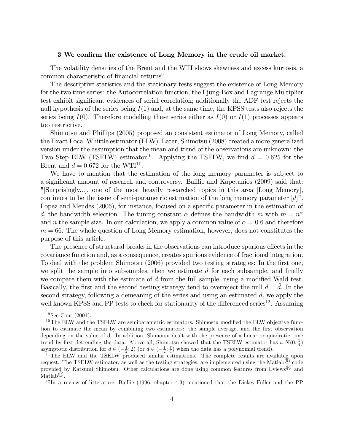#### 3 We confirm the existence of Long Memory in the crude oil market.

The volatility densities of the Brent and the WTI shows skewness and excess kurtosis, a common characteristic of financial returns<sup>9</sup>.

The descriptive statistics and the stationary tests suggest the existence of Long Memory for the two time series: the Autocorrelation function, the Ljung-Box and Lagrange Multiplier test exhibit significant evidences of serial correlation; additionally the ADF test rejects the null hypothesis of the series being  $I(1)$  and, at the same time, the KPSS tests also rejects the series being  $I(0)$ . Therefore modelling these series either as  $I(0)$  or  $I(1)$  processes appears too restrictive.

Shimotsu and Phillips (2005) proposed an consistent estimator of Long Memory, called the Exact Local Whittle estimator (ELW). Later, Shimotsu (2008) created a more generalized version under the assumption that the mean and trend of the observations are unknown: the Two Step ELW (TSELW) estimator<sup>10</sup>. Applying the TSELW, we find  $d = 0.625$  for the Brent and  $d = 0.672$  for the WTI<sup>11</sup>.

We have to mention that the estimation of the long memory parameter is subject to a significant amount of research and controversy. Baillie and Kapetanios (2009) said that: "[Surprisingly...], one of the most heavily researched topics in this area [Long Memory], continues to be the issue of semi-parametric estimation of the long memory parameter [d]". Lopez and Mendes (2006), for instance, focused on a specific parameter in the estimation of d, the bandwidth selection. The tuning constant  $\alpha$  defines the bandwidth m with  $m = n^{\alpha}$ and *n* the sample size. In our calculation, we apply a common value of  $\alpha = 0.6$  and therefore  $m = 66$ . The whole question of Long Memory estimation, however, does not constitutes the purpose of this article.

The presence of structural breaks in the observations can introduce spurious effects in the covariance function and, as a consequence, creates spurious evidence of fractional integration. To deal with the problem Shimotsu (2006) provided two testing strategies: In the Örst one, we split the sample into subsamples, then we estimate  $d$  for each subsample, and finally we compare them with the estimate of  $d$  from the full sample, using a modified Wald test. Basically, the first and the second testing strategy tend to overreject the null  $d = d$ . In the second strategy, following a demeaning of the series and using an estimated  $d$ , we apply the well known KPSS and PP tests to check for stationarity of the differenced series<sup>12</sup>. Assuming

 $9$ See Cont (2001).

 $10$ The ELW and the TSELW are semiparametric estimators. Shimostu modified the ELW objective function to estimate the mean by combining two estimators: the sample average, and the first observation depending on the value of d. In addition, Shimotsu dealt with the presence of a linear or quadratic time trend by first detrending the data. Above all, Shimotsu showed that the TSELW estimator has a  $N(0; \frac{1}{4})$ asymptotic distribution for  $d \in \left(-\frac{1}{2}, \frac{7}{2}\right)$  (or  $d \in \left(-\frac{1}{2}, \frac{7}{4}\right)$  when the data has a polynomial trend).

<sup>&</sup>lt;sup>11</sup>The ELW and the TSELW produced similar estimations. The complete results are available upon request. The TSELW estimator, as well as the testing strategies, are implemented using the Matlab<sup>®</sup> code provided by Katsumi Shimotsu. Other calculations are done using common features from Eviews<sup>(B)</sup> and  $\text{Matlab}^{\textcircled{\tiny{\textregistered}}}.$ 

 $12$ In a review of litterature, Baillie (1996, chapter 4.3) mentioned that the Dickey-Fuller and the PP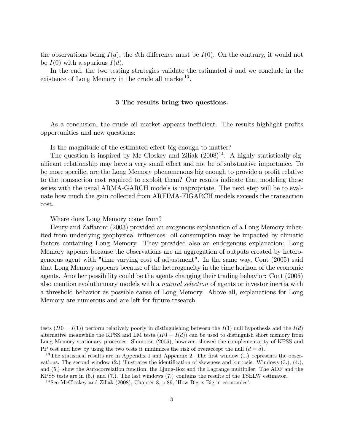the observations being  $I(d)$ , the dth difference must be  $I(0)$ . On the contrary, it would not be  $I(0)$  with a spurious  $I(d)$ .

In the end, the two testing strategies validate the estimated  $d$  and we conclude in the existence of Long Memory in the crude all market<sup>13</sup>.

#### 3 The results bring two questions.

As a conclusion, the crude oil market appears inefficient. The results highlight profits opportunities and new questions:

Is the magnitude of the estimated effect big enough to matter?

The question is inspired by Mc Closkey and Ziliak  $(2008)^{14}$ . A highly statistically significant relationship may have a very small effect and not be of substantive importance. To be more specific, are the Long Memory phenomenons big enough to provide a profit relative to the transaction cost required to exploit them? Our results indicate that modeling these series with the usual ARMA-GARCH models is inapropriate. The next step will be to evaluate how much the gain collected from ARFIMA-FIGARCH models exceeds the transaction cost.

Where does Long Memory come from?

Henry and Zaffaroni (2003) provided an exogenous explanation of a Long Memory inherited from underlying geophysical ináuences: oil consumption may be impacted by climatic factors containing Long Memory. They provided also an endogenous explanation: Long Memory appears because the observations are an aggregation of outputs created by heterogeneous agent with "time varying cost of adjustment". In the same way, Cont (2005) said that Long Memory appears because of the heterogeneity in the time horizon of the economic agents. Another possibility could be the agents changing their trading behavior: Cont (2005) also mention evolutionnary models with a *natural selection* of agents or investor inertia with a threshold behavior as possible cause of Long Memory. Above all, explanations for Long Memory are numerous and are left for future research.

tests  $(H0 = I(1))$  perform relatively poorly in distinguishing between the  $I(1)$  null hypothesis and the  $I(d)$ alternative meanwhile the KPSS and LM tests  $(H0 = I(d))$  can be used to distinguish short memory from Long Memory stationary processes. Shimotsu (2006), however, showed the complementarity of KPSS and PP test and how by using the two tests it minimizes the risk of overaccept the null  $(d = d)$ .

<sup>&</sup>lt;sup>13</sup>The statistical results are in Appendix 1 and Appendix 2. The first window  $(1)$  represents the observations. The second window  $(2)$  illustrates the identification of skewness and kurtosis. Windows  $(3)$ ,  $(4)$ , and (5.) show the Autocorrelation function, the Ljung-Box and the Lagrange multiplier. The ADF and the KPSS tests are in (6.) and (7.). The last windows (7.) contains the results of the TSELW estimator.

 $14$ See McCloskey and Ziliak (2008), Chapter 8, p.89, 'How Big is Big in economics'.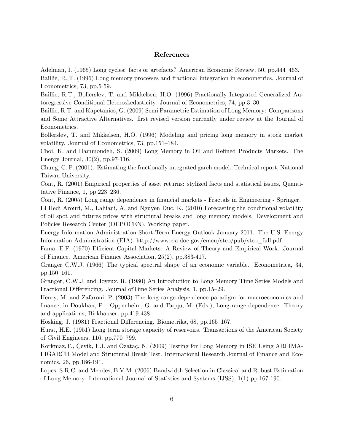#### References

Adelman, I. (1965) Long cycles: facts or artefacts? American Economic Review, 50, pp.444–463.

Baillie, R.,T. (1996) Long memory processes and fractional integration in econometrics. Journal of Econometrics, 73, pp.5-59.

Baillie, R.T., Bollerslev, T. and Mikkelsen, H.O. (1996) Fractionally Integrated Generalized Autoregressive Conditional Heteroskedasticity. Journal of Econometrics, 74, pp.3–30.

Baillie, R.T. and Kapetanios, G. (2009) Semi Parametric Estimation of Long Memory: Comparisons and Some Attractive Alternatives. first revised version currently under review at the Journal of Econometrics.

Bollerslev, T. and Mikkelsen, H.O. (1996) Modeling and pricing long memory in stock market volatility. Journal of Econometrics, 73, pp.151–184.

Choi, K. and Hammoudeh, S. (2009) Long Memory in Oil and Refined Products Markets. The Energy Journal, 30(2), pp.97-116.

Chung, C. F. (2001). Estimating the fractionally integrated garch model. Technical report, National Taiwan University.

Cont, R. (2001) Empirical properties of asset returns: stylized facts and statistical issues, Quantitative Finance, 1, pp.  $223-236$ .

Cont, R. (2005) Long range dependence in financial markets - Fractals in Engineering - Springer.

El Hedi Arouri, M., Lahiani, A. and Nguyen Duc, K. (2010) Forecasting the conditional volatility of oil spot and futures prices with structural breaks and long memory models. Development and Policies Research Center (DEPOCEN). Working paper.

Energy Information Administration Short-Term Energy Outlook January 2011. The U.S. Energy Information Administration (EIA). http://www.eia.doe.gov/emeu/steo/pub/steo\_full.pdf

Fama, E.F. (1970) Efficient Capital Markets: A Review of Theory and Empirical Work. Journal of Finance. American Finance Association, 25(2), pp.383-417.

Granger C.W.J. (1966) The typical spectral shape of an economic variable. Econometrica, 34, pp.150–161.

Granger, C.W.J. and Joyeux, R. (1980) An Introduction to Long Memory Time Series Models and Fractional Differencing. Journal ofTime Series Analysis, 1, pp.15–29.

Henry, M. and Zafaroni, P. (2003) The long range dependence paradigm for macroeconomics and Önance, in Doukhan, P. , Oppenheim, G. and Taqqu, M. (Eds.), Long-range dependence: Theory and applications, Birkhauser, pp.419-438.

Hosking, J. (1981) Fractional Differencing. Biometrika, 68, pp.165–167.

Hurst, H.E. (1951) Long term storage capacity of reservoirs. Transactions of the American Society of Civil Engineers,  $116$ , pp.770–799.

Korkmaz,T., Çevik, E.I. and Özataç, N. (2009) Testing for Long Memory in ISE Using ARFIMA-FIGARCH Model and Structural Break Test. International Research Journal of Finance and Economics, 26, pp.186-191.

Lopes, S.R.C. and Mendes, B.V.M. (2006) Bandwidth Selection in Classical and Robust Estimation of Long Memory. International Journal of Statistics and Systems (IJSS), 1(1) pp.167-190.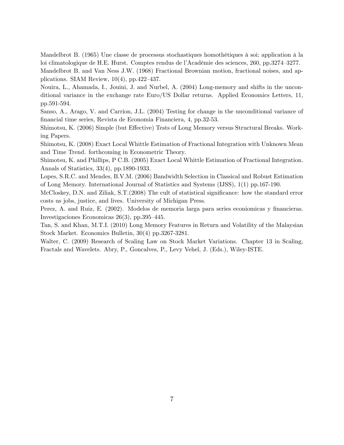Mandelbrot B. (1965) Une classe de processus stochastiques homothétiques à soi; application à la loi climatologique de H.E. Hurst. Comptes rendus de l'Académie des sciences, 260, pp.3274–3277. Mandelbrot B. and Van Ness J.W. (1968) Fractional Brownian motion, fractional noises, and applications. SIAM Review,  $10(4)$ , pp.422–437.

Nouira, L., Ahamada, I., Jouini, J. and Nurbel, A. (2004) Long-memory and shifts in the unconditional variance in the exchange rate Euro/US Dollar returns. Applied Economics Letters, 11, pp.591-594.

Sanso, A., Arago, V. and Carrion, J.L. (2004) Testing for change in the unconditional variance of Önancial time series, Revista de Economia Financiera, 4, pp.32-53.

Shimotsu, K. (2006) Simple (but Effective) Tests of Long Memory versus Structural Breaks. Working Papers.

Shimotsu, K. (2008) Exact Local Whittle Estimation of Fractional Integration with Unknown Mean and Time Trend. forthcoming in Econometric Theory.

Shimotsu, K. and Phillips, P C.B. (2005) Exact Local Whittle Estimation of Fractional Integration. Annals of Statistics, 33(4), pp.1890-1933.

Lopes, S.R.C. and Mendes, B.V.M. (2006) Bandwidth Selection in Classical and Robust Estimation of Long Memory. International Journal of Statistics and Systems (IJSS), 1(1) pp.167-190.

McCloskey, D.N. and Ziliak, S.T.(2008) The cult of statistical significance: how the standard error costs us jobs, justice, and lives. University of Michigan Press.

Perez, A. and Ruiz, E. (2002). Modelos de memoria larga para series econiomicas y financieras. Investigaciones Economicas  $26(3)$ , pp. 395–445.

Tan, S. and Khan, M.T.I. (2010) Long Memory Features in Return and Volatility of the Malaysian Stock Market. Economics Bulletin, 30(4) pp.3267-3281.

Walter, C. (2009) Research of Scaling Law on Stock Market Variations. Chapter 13 in Scaling, Fractals and Wavelets. Abry, P., Goncalves, P., Levy Vehel, J. (Eds.), Wiley-ISTE.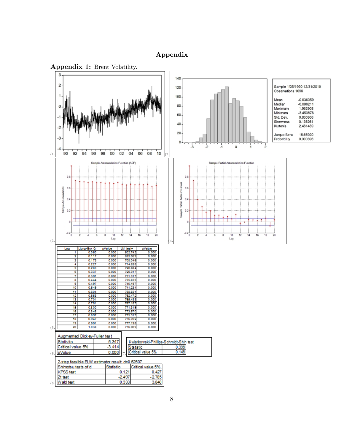#### Appendix